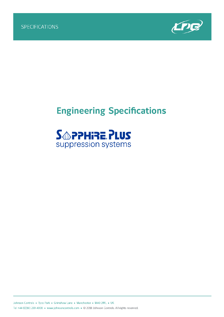

# **Engineering Specifications**

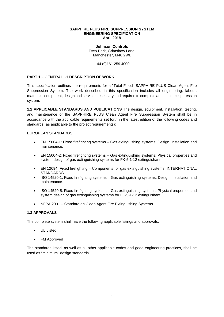#### **SAPPHIRE PLUS FIRE SUPPRESSION SYSTEM ENGINEERING SPECIFICATION April 2018**

**Johnson Controls** Tyco Park, Grimshaw Lane, Manchester, M40 2WL

+44 (0)161 259 4000

## **PART 1 – GENERAL1.1 DESCRIPTION OF WORK**

This specification outlines the requirements for a "Total Flood" SAPPHIRE PLUS Clean Agent Fire Suppression System. The work described in this specification includes all engineering, labour, materials, equipment, design and service: necessary and required to complete and test the suppression system.

**1.2 APPLICABLE STANDARDS AND PUBLICATIONS** The design, equipment, installation, testing, and maintenance of the SAPPHIRE PLUS Clean Agent Fire Suppression System shall be in accordance with the applicable requirements set forth in the latest edition of the following codes and standards (as applicable to the project requirements):

#### EUROPEAN STANDARDS

- EN 15004-1: Fixed firefighting systems Gas extinguishing systems: Design, installation and maintenance.
- EN 15004-2: Fixed firefighting systems Gas extinguishing systems: Physical properties and system design of gas extinguishing systems for FK-5-1-12 extinguishant.
- EN 12094: Fixed firefighting Components for gas extinguishing systems. INTERNATIONAL STANDARDS.
- ISO 14520-1: Fixed firefighting systems Gas extinguishing systems: Design, installation and maintenance.
- ISO 14520-5: Fixed firefighting systems Gas extinguishing systems: Physical properties and system design of gas extinguishing systems for FK-5-1-12 extinguishant.
- NFPA 2001 Standard on Clean Agent Fire Extinguishing Systems.

# **1.3 APPROVALS**

The complete system shall have the following applicable listings and approvals:

- UL Listed
- FM Approved

The standards listed, as well as all other applicable codes and good engineering practices, shall be used as "minimum" design standards.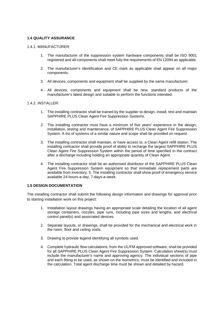# **1.4 QUALITY ASSURANCE**

#### 1.4.1. MANUFACTURER:

- 1. The manufacturer of the suppression system hardware components shall be ISO 9001 registered and all components shall meet fully the requirements of EN 12094 as applicable.
- 2. The manufacturer's identification and CE mark as applicable shall appear on all major components.
- 3. All devices, components and equipment shall be supplied by the same manufacturer.
- 4. All devices, components and equipment shall be new, standard products of the manufacturer's latest design and suitable to perform the functions intended.

#### 1.4.2. INSTALLER:

- 1. The installing contractor shall be trained by the supplier to design, install, test and maintain SAPPHIRE PLUS Clean Agent Fire Suppression Systems.
- 2. The installing contractor must have a minimum of five years' experience in the design, installation, testing and maintenance, of SAPPHIRE PLUS Clean Agent Fire Suppression System. A list of systems of a similar nature and scope shall be provided on request.
- 3. The installing contractor shall maintain, or have access to, a Clean Agent refill station. The installing contractor shall provide proof of ability to recharge the largest SAPPHIRE PLUS Clean Agent Fire Suppression System within the period of time specified in the contract after a discharge including holding an appropriate quantity of Clean Agent.
- 4. The installing contractor shall be an authorised distributor of the SAPPHIRE PLUS Clean Agent Fire Suppression System equipment so that immediate replacement parts are available from inventory. 5. The installing contractor shall show proof of emergency service available 24-hours-a-day, 7-days-a-week.

# **1.5 DESIGN DOCUMENTATION**

The installing contractor shall submit the following design information and drawings for approval prior to starting installation work on this project:

- 1. Installation layout drawings having an appropriate scale detailing the location of all agent storage containers, nozzles, pipe runs, including pipe sizes and lengths, and electrical control panel(s) and associated devices.
- 2. Separate layouts, or drawings, shall be provided for the mechanical and electrical work in the room, floor and ceiling voids.
- 3. Drawing to provide legend identifying all symbols used.
- 4. Complete hydraulic flow calculations, from the UL/FM approved software, shall be provided for all SAPPHIRE PLUS Clean Agent Fire Suppression System. Calculation sheet(s) must include the manufacturer's name and approving agency. The individual sections of pipe and each fitting to be used, as shown on the isometrics, must be identified and included in the calculation. Total agent discharge time must be shown and detailed by hazard.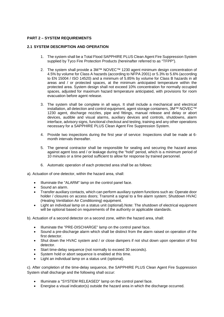# **PART 2 – SYSTEM REQUIREMENTS**

## **2.1 SYSTEM DESCRIPTION AND OPERATION**

- 1. The system shall be a Total Flood SAPPHIRE PLUS Clean Agent Fire Suppression System supplied by Tyco Fire Protection Products (hereinafter referred to as "TFPP").
- 2. The system shall provide a 3M™ NOVEC™ 1230 agent minimum design concentration of 4.5% by volume for Class A hazards (according to NFPA 2001) or 5.3% to 5.6% (according to EN 15004 / ISO 14520) and a minimum of 5.85% by volume for Class B hazards in all areas and / or protected spaces, at the minimum anticipated temperature within the protected area. System design shall not exceed 10% concentration for normally occupied spaces, adjusted for maximum hazard temperature anticipated, with provisions for room evacuation before agent release.
- 3. The system shall be complete in all ways. It shall include a mechanical and electrical installation, all detection and control equipment, agent storage containers, 3M™ NOVEC™ 1230 agent, discharge nozzles, pipe and fittings, manual release and delay or abort devices, audible and visual alarms, auxiliary devices and controls, shutdowns, alarm interface, advisory signs, functional checkout and testing, training and any other operations necessary for a SAPPHIRE PLUS Clean Agent Fire Suppression System.
- 4. Provide two inspections during the first year of service: Inspections shall be made at 6 month intervals thereafter.
- 5. The general contractor shall be responsible for sealing and securing the hazard areas against agent loss and / or leakage during the "hold" period, which is a minimum period of 10 minutes or a time period sufficient to allow for response by trained personnel.
- 6. Automatic operation of each protected area shall be as follows:

a). Actuation of one detector, within the hazard area, shall:

- Illuminate the "ALARM" lamp on the control panel face.
- Sound an alarm.
- Transfer auxiliary contacts, which can perform auxiliary system functions such as: Operate door holder / closures on access doors; Transmit a signal to a fire alarm system; Shutdown HVAC (Heating Ventilation Air Conditioning) equipment.
- Light an individual lamp on a status unit (optional).Note: The shutdown of electrical equipment will be optional based on requirements of the authority or applicable standards.
- b). Actuation of a second detector on a second zone, within the hazard area, shall:
	- Illuminate the "PRE-DISCHARGE" lamp on the control panel face.
	- Sound a pre-discharge alarm which shall be distinct from the alarm raised on operation of the first detector.
	- Shut down the HVAC system and / or close dampers if not shut down upon operation of first detector.
	- Start time-delay sequence (not normally to exceed 30 seconds).
	- System hold or abort sequence is enabled at this time.
	- Light an individual lamp on a status unit (optional).

c). After completion of the time-delay sequence, the SAPPHIRE PLUS Clean Agent Fire Suppression System shall discharge and the following shall occur:

- Illuminate a "SYSTEM RELEASED" lamp on the control panel face.
- Energise a visual indicator(s) outside the hazard area in which the discharge occurred.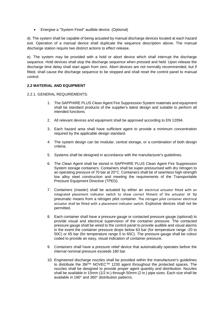• Energise a "System Fired" audible device. (Optional)

d). The system shall be capable of being actuated by manual discharge devices located at each hazard exit. Operation of a manual device shall duplicate the sequence description above. The manual discharge station require two distinct actions to effect release.

e). The system may be provided with a hold or abort device which shall interrupt the discharge sequence. Hold devices shall stop the discharge sequence when pressed and held. Upon release the discharge time delay shall start again from zero. Abort devices are not normally recommended, but if fitted, shall cause the discharge sequence to be stopped and shall reset the control panel to manual control.

# **2.2 MATERIAL AND EQUIPMENT**

2.2.1. GENERAL REQUIREMENTS:

- 1. The SAPPHIRE PLUS Clean Agent Fire Suppression System materials and equipment shall be standard products of the supplier's latest design and suitable to perform all intended functions.
- 2. All relevant devices and equipment shall be approved according to EN 12094.
- 3. Each hazard area shall have sufficient agent to provide a minimum concentration required by the applicable design standard.
- 4. The system design can be modular, central storage, or a combination of both design criteria.
- 5. Systems shall be designed in accordance with the manufacturer's guidelines.
- 6. The Clean Agent shall be stored in SAPPHIRE PLUS Clean Agent Fire Suppression System storage containers. Containers shall be super-pressurised with dry nitrogen to an operating pressure of 70 bar at 20°C. Containers shall be of seamless high-strength low alloy steel construction and meeting the requirements of the Transportable Pressure Equipment Directive (TPED).
- 7. Containers (master) shall be actuated by either an electrical actuator fitted with an integrated placement indicator switch to show correct fitment of the actuator or by pneumatic means from a nitrogen pilot container. The nitrogen pilot container electrical actuator shall be fitted with a placement indicator switch. Explosive devices shall not be permitted.
- 8. Each container shall have a pressure gauge or contacted pressure gauge (optional) to provide visual and electrical supervision of the container pressure. The contacted pressure gauge shall be wired to the control panel to provide audible and visual alarms in the event the container pressure drops below 63 bar (for temperature range -20 to 50C) or 65 bar (for temperature range 0 to 65C). The pressure gauge shall be colour coded to provide an easy, visual indication of container pressure.
- 9. Containers shall have a pressure relief device that automatically operates before the internal nominal pressure exceeds 180 bar.
- 10. Engineered discharge nozzles shall be provided within the manufacturer's guidelines to distribute the 3M™ NOVEC™ 1230 agent throughout the protected spaces. The nozzles shall be designed to provide proper agent quantity and distribution. Nozzles shall be available in 15mm (1/2 in.) through 50mm (2 in.) pipe sizes. Each size shall be available in 180° and 360° distribution patterns.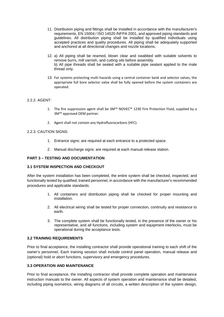- 11. Distribution piping and fittings shall be installed in accordance with the manufacturer's requirements, EN 15004 / ISO 14520 /NFPA 2001, and approved piping standards and guidelines. All distribution piping shall be installed by qualified individuals using accepted practices and quality procedures. All piping shall be adequately supported and anchored at all directional changes and nozzle locations.
- 12. a) All piping shall be reamed, blown clear and swabbed with suitable solvents to remove burrs, mill varnish, and cutting oils before assembly. b) All pipe threads shall be sealed with a suitable pipe sealant applied to the male thread only.
- 13. For systems protecting multi hazards using a central container bank and selector valves, the appropriate full bore selector valve shall be fully opened before the system containers are operated.

## 2.2.2. AGENT:

- 1. The fire suppression agent shall be 3M™ NOVEC™ 1230 Fire Protection Fluid, supplied by a 3M™ approved OEM partner.
- 2. Agent shall not contain any Hydrofluorocarbons (HFC).

#### 2.2.3. CAUTION SIGNS:

- 1. Entrance signs: are required at each entrance to a protected space.
- 2. Manual discharge signs: are required at each manual release station.

#### **PART 3 – TESTING AND DOCUMENTATION**

## **3.1 SYSTEM INSPECTION AND CHECKOUT**

After the system installation has been completed, the entire system shall be checked, inspected, and functionally tested by qualified, trained personnel, in accordance with the manufacturer's recommended procedures and applicable standards.

- 1. All containers and distribution piping shall be checked for proper mounting and installation.
- 2. All electrical wiring shall be tested for proper connection, continuity and resistance to earth.
- 3. The complete system shall be functionally tested, in the presence of the owner or his representative, and all functions, including system and equipment interlocks, must be operational during the acceptance tests.

#### **3.2 TRAINING REQUIREMENTS**

Prior to final acceptance, the installing contractor shall provide operational training to each shift of the owner's personnel. Each training session shall include control panel operation, manual release and (optional) hold or abort functions, supervisory and emergency procedures.

# **3.3 OPERATION AND MAINTENANCE**

Prior to final acceptance, the installing contractor shall provide complete operation and maintenance instruction manuals to the owner. All aspects of system operation and maintenance shall be detailed, including piping isometrics, wiring diagrams of all circuits, a written description of the system design,